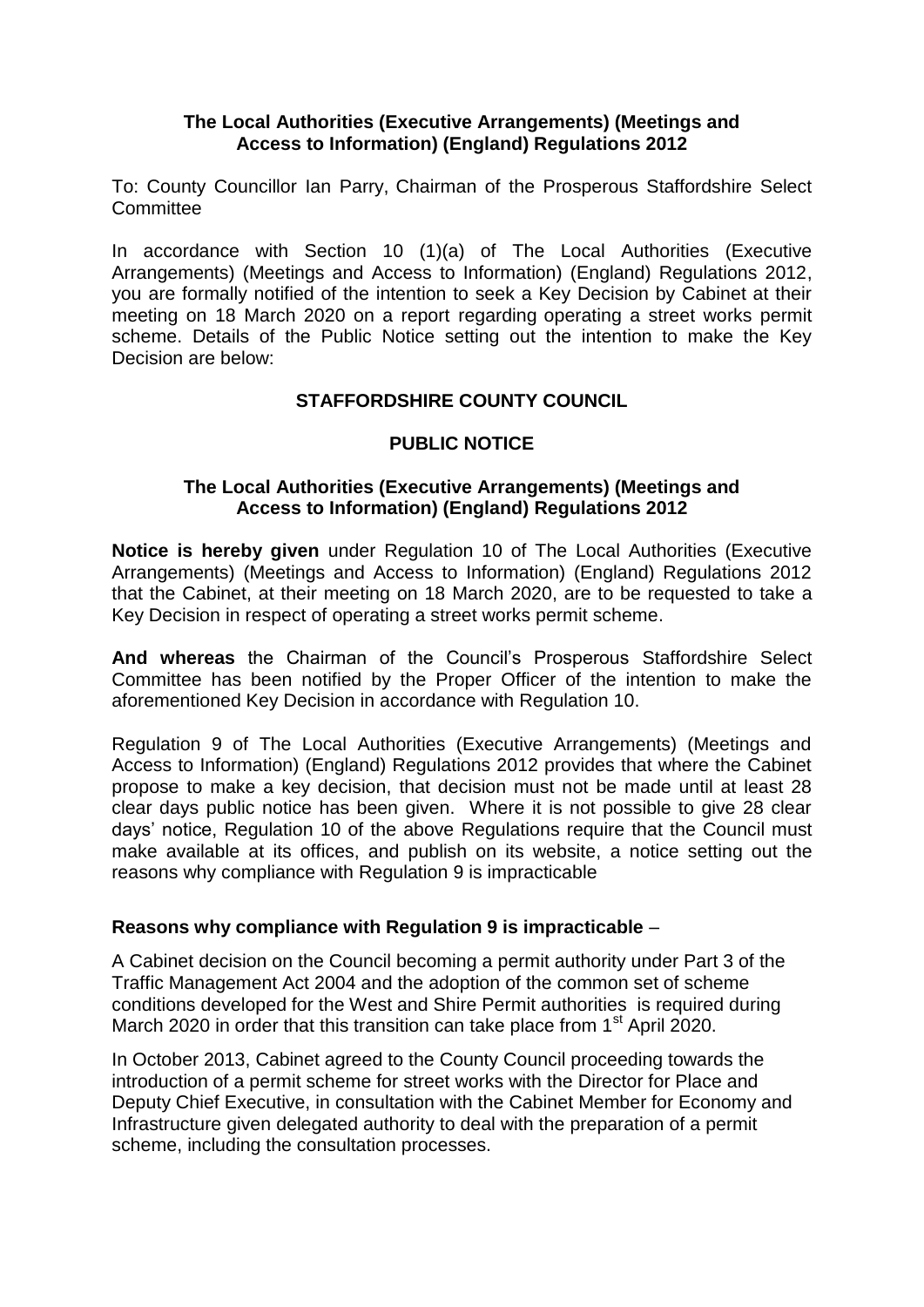### **The Local Authorities (Executive Arrangements) (Meetings and Access to Information) (England) Regulations 2012**

To: County Councillor Ian Parry, Chairman of the Prosperous Staffordshire Select **Committee** 

In accordance with Section 10 (1)(a) of The Local Authorities (Executive Arrangements) (Meetings and Access to Information) (England) Regulations 2012, you are formally notified of the intention to seek a Key Decision by Cabinet at their meeting on 18 March 2020 on a report regarding operating a street works permit scheme. Details of the Public Notice setting out the intention to make the Key Decision are below:

# **STAFFORDSHIRE COUNTY COUNCIL**

# **PUBLIC NOTICE**

#### **The Local Authorities (Executive Arrangements) (Meetings and Access to Information) (England) Regulations 2012**

**Notice is hereby given** under Regulation 10 of The Local Authorities (Executive Arrangements) (Meetings and Access to Information) (England) Regulations 2012 that the Cabinet, at their meeting on 18 March 2020, are to be requested to take a Key Decision in respect of operating a street works permit scheme.

**And whereas** the Chairman of the Council's Prosperous Staffordshire Select Committee has been notified by the Proper Officer of the intention to make the aforementioned Key Decision in accordance with Regulation 10.

Regulation 9 of The Local Authorities (Executive Arrangements) (Meetings and Access to Information) (England) Regulations 2012 provides that where the Cabinet propose to make a key decision, that decision must not be made until at least 28 clear days public notice has been given. Where it is not possible to give 28 clear days' notice, Regulation 10 of the above Regulations require that the Council must make available at its offices, and publish on its website, a notice setting out the reasons why compliance with Regulation 9 is impracticable

### **Reasons why compliance with Regulation 9 is impracticable** –

A Cabinet decision on the Council becoming a permit authority under Part 3 of the Traffic Management Act 2004 and the adoption of the common set of scheme conditions developed for the West and Shire Permit authorities is required during March 2020 in order that this transition can take place from  $1<sup>st</sup>$  April 2020.

In October 2013, Cabinet agreed to the County Council proceeding towards the introduction of a permit scheme for street works with the Director for Place and Deputy Chief Executive, in consultation with the Cabinet Member for Economy and Infrastructure given delegated authority to deal with the preparation of a permit scheme, including the consultation processes.